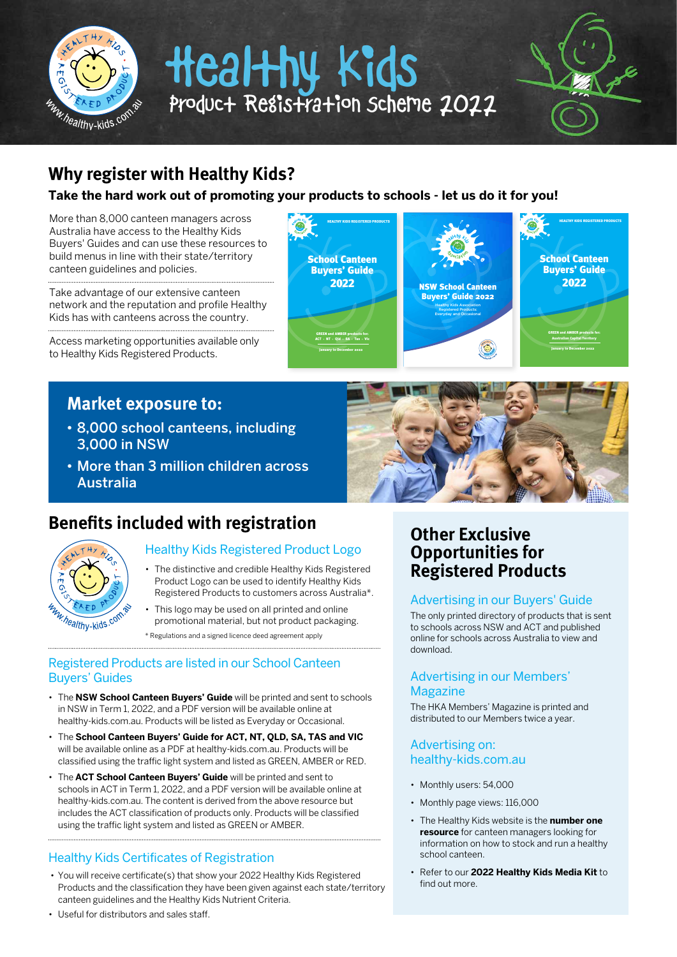

## **Why register with Healthy Kids?**

### **Take the hard work out of promoting your products to schools - let us do it for you!**

HEALTHY KIDS REGISTERED PRODUCTS

More than 8,000 canteen managers across Australia have access to the Healthy Kids Buyers' Guides and can use these resources to build menus in line with their state/territory canteen guidelines and policies.

Take advantage of our extensive canteen network and the reputation and profile Healthy Kids has with canteens across the country.

Access marketing opportunities available only to Healthy Kids Registered Products.

# **Market exposure to:**

- 8,000 school canteens, including 3,000 in NSW
- More than 3 million children across Australia

## **Benefits included with registration**



### Healthy Kids Registered Product Logo

- The distinctive and credible Healthy Kids Registered Product Logo can be used to identify Healthy Kids Registered Products to customers across Australia\*.
- This logo may be used on all printed and online promotional material, but not product packaging.
- \* Regulations and a signed licence deed agreement apply

### Registered Products are listed in our School Canteen Buyers' Guides

- The **NSW School Canteen Buyers' Guide** will be printed and sent to schools in NSW in Term 1, 2022, and a PDF version will be available online at healthy-kids.com.au. Products will be listed as Everyday or Occasional.
- The **School Canteen Buyers' Guide for ACT, NT, QLD, SA, TAS and VIC** will be available online as a PDF at healthy-kids.com.au. Products will be classified using the traffic light system and listed as GREEN, AMBER or RED.
- The **ACT School Canteen Buyers' Guide** will be printed and sent to schools in ACT in Term 1, 2022, and a PDF version will be available online at healthy-kids.com.au. The content is derived from the above resource but includes the ACT classification of products only. Products will be classified using the traffic light system and listed as GREEN or AMBER.

### Healthy Kids Certificates of Registration

 • You will receive certificate(s) that show your 2022 Healthy Kids Registered Products and the classification they have been given against each state/territory canteen guidelines and the Healthy Kids Nutrient Criteria.

**Other Exclusive Opportunities for Registered Products**

### Advertising in our Buyers' Guide

The only printed directory of products that is sent to schools across NSW and ACT and published online for schools across Australia to view and download.

### Advertising in our Members' Magazine

The HKA Members' Magazine is printed and distributed to our Members twice a year.

### Advertising on: healthy-kids.com.au

- Monthly users: 54,000
- Monthly page views: 116,000
- The Healthy Kids website is the **number one resource** for canteen managers looking for information on how to stock and run a healthy school canteen.
- Refer to our **2022 Healthy Kids Media Kit** to find out more.

• Useful for distributors and sales staff.





HEALTHY KIDS REGISTERED PRODUCTS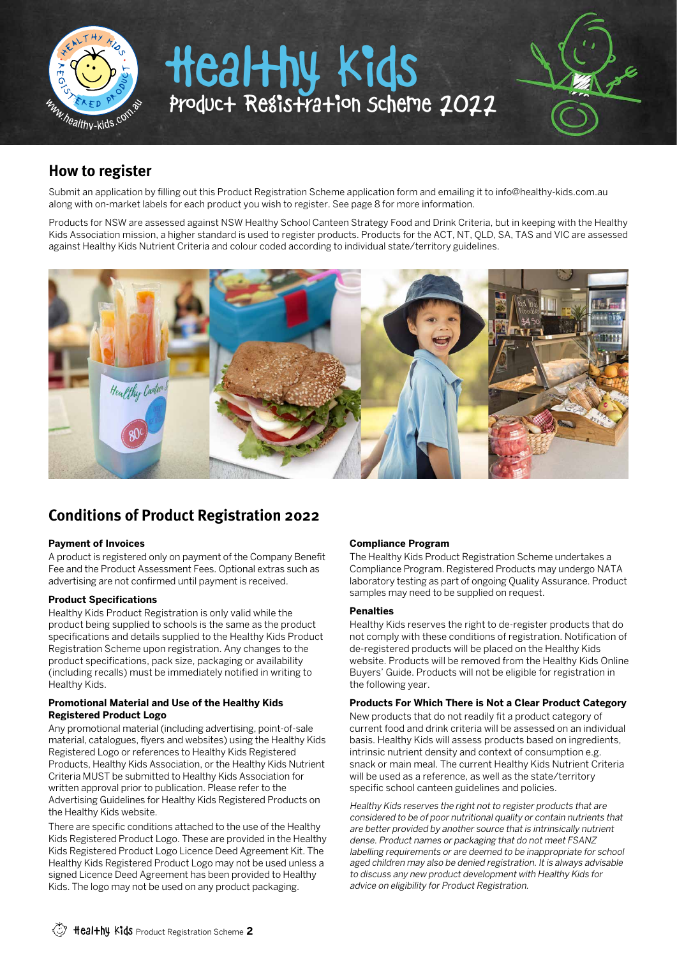

### **How to register**

Submit an application by filling out this Product Registration Scheme application form and emailing it to info@healthy-kids.com.au along with on-market labels for each product you wish to register. See page 8 for more information.

Products for NSW are assessed against NSW Healthy School Canteen Strategy Food and Drink Criteria, but in keeping with the Healthy Kids Association mission, a higher standard is used to register products. Products for the ACT, NT, QLD, SA, TAS and VIC are assessed against Healthy Kids Nutrient Criteria and colour coded according to individual state/territory guidelines.



## **Conditions of Product Registration 2022**

### **Payment of Invoices**

A product is registered only on payment of the Company Benefit Fee and the Product Assessment Fees. Optional extras such as advertising are not confirmed until payment is received.

### **Product Specifications**

Healthy Kids Product Registration is only valid while the product being supplied to schools is the same as the product specifications and details supplied to the Healthy Kids Product Registration Scheme upon registration. Any changes to the product specifications, pack size, packaging or availability (including recalls) must be immediately notified in writing to Healthy Kids.

#### **Promotional Material and Use of the Healthy Kids Registered Product Logo**

Any promotional material (including advertising, point-of-sale material, catalogues, flyers and websites) using the Healthy Kids Registered Logo or references to Healthy Kids Registered Products, Healthy Kids Association, or the Healthy Kids Nutrient Criteria MUST be submitted to Healthy Kids Association for written approval prior to publication. Please refer to the Advertising Guidelines for Healthy Kids Registered Products on the Healthy Kids website.

There are specific conditions attached to the use of the Healthy Kids Registered Product Logo. These are provided in the Healthy Kids Registered Product Logo Licence Deed Agreement Kit. The Healthy Kids Registered Product Logo may not be used unless a signed Licence Deed Agreement has been provided to Healthy Kids. The logo may not be used on any product packaging.

### **Compliance Program**

The Healthy Kids Product Registration Scheme undertakes a Compliance Program. Registered Products may undergo NATA laboratory testing as part of ongoing Quality Assurance. Product samples may need to be supplied on request.

#### **Penalties**

Healthy Kids reserves the right to de-register products that do not comply with these conditions of registration. Notification of de-registered products will be placed on the Healthy Kids website. Products will be removed from the Healthy Kids Online Buyers' Guide. Products will not be eligible for registration in the following year.

### **Products For Which There is Not a Clear Product Category**

New products that do not readily fit a product category of current food and drink criteria will be assessed on an individual basis. Healthy Kids will assess products based on ingredients, intrinsic nutrient density and context of consumption e.g. snack or main meal. The current Healthy Kids Nutrient Criteria will be used as a reference, as well as the state/territory specific school canteen guidelines and policies.

Healthy Kids reserves the right not to register products that are considered to be of poor nutritional quality or contain nutrients that are better provided by another source that is intrinsically nutrient dense. Product names or packaging that do not meet FSANZ labelling requirements or are deemed to be inappropriate for school aged children may also be denied registration. It is always advisable to discuss any new product development with Healthy Kids for advice on eligibility for Product Registration.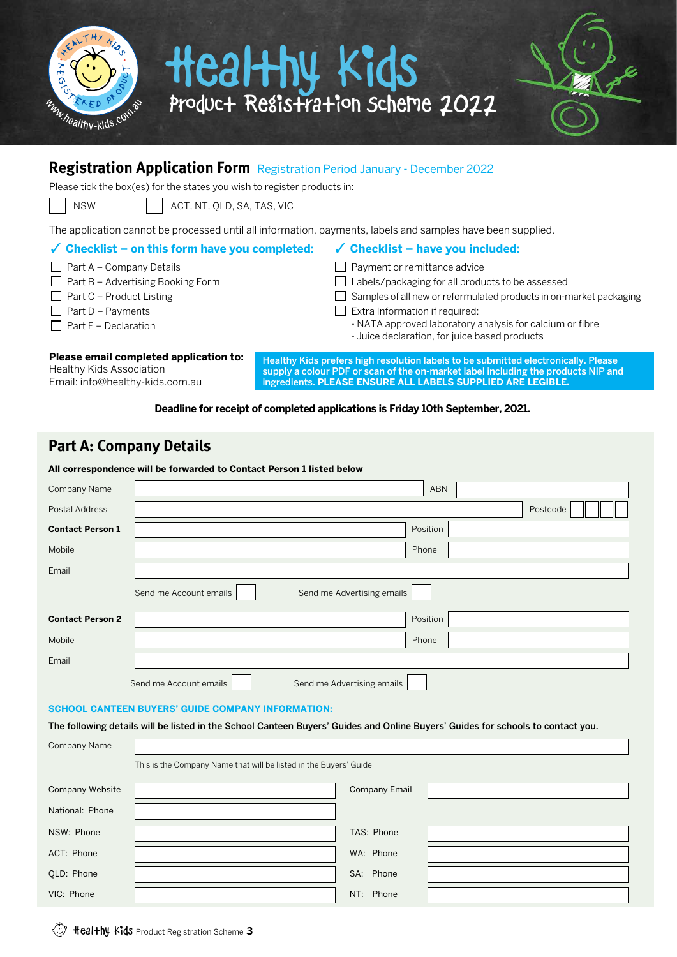



### **Registration Application Form** Registration Period January - December 2022

Please tick the box(es) for the states you wish to register products in:

NSW | | ACT, NT, OLD, SA, TAS, VIC

The application cannot be processed until all information, payments, labels and samples have been supplied.

### **Checklist – on this form have you completed:**

- $\Box$  Part A Company Details
- $\Box$  Part B Advertising Booking Form
- $\Box$  Part C Product Listing
- $\Box$  Part D Payments
- $\Box$  Part E Declaration

### **Checklist – have you included:**  Payment or remittance advice

- □ Labels/packaging for all products to be assessed
- $\Box$  Samples of all new or reformulated products in on-market packaging
- $\Box$  Extra Information if required:
	- NATA approved laboratory analysis for calcium or fibre
	- Juice declaration, for juice based products

**Please email completed application to:** Healthy Kids Association Email: info@healthy-kids.com.au

Healthy Kids prefers high resolution labels to be submitted electronically. Please supply a colour PDF or scan of the on-market label including the products NIP and ingredients. **PLEASE ENSURE ALL LABELS SUPPLIED ARE LEGIBLE.**

**Deadline for receipt of completed applications is Friday 10th September, 2021.** 

### **Part A: Company Details**

### **All correspondence will be forwarded to Contact Person 1 listed below**

| Company Name            | ABN                                                  |
|-------------------------|------------------------------------------------------|
| Postal Address          | Postcode                                             |
| <b>Contact Person 1</b> | Position                                             |
| Mobile                  | Phone                                                |
| Email                   |                                                      |
|                         | Send me Advertising emails<br>Send me Account emails |
| <b>Contact Person 2</b> | Position                                             |
| Mobile                  | Phone                                                |
| Email                   |                                                      |
|                         | Send me Account emails<br>Send me Advertising emails |

### **SCHOOL CANTEEN BUYERS' GUIDE COMPANY INFORMATION:**

The following details will be listed in the School Canteen Buyers' Guides and Online Buyers' Guides for schools to contact you.

| Company Name    |                                                                   |                      |  |
|-----------------|-------------------------------------------------------------------|----------------------|--|
|                 | This is the Company Name that will be listed in the Buyers' Guide |                      |  |
| Company Website |                                                                   | <b>Company Email</b> |  |
| National: Phone |                                                                   |                      |  |
| NSW: Phone      |                                                                   | TAS: Phone           |  |
| ACT: Phone      |                                                                   | WA: Phone            |  |
| QLD: Phone      |                                                                   | SA: Phone            |  |
| VIC: Phone      |                                                                   | NT: Phone            |  |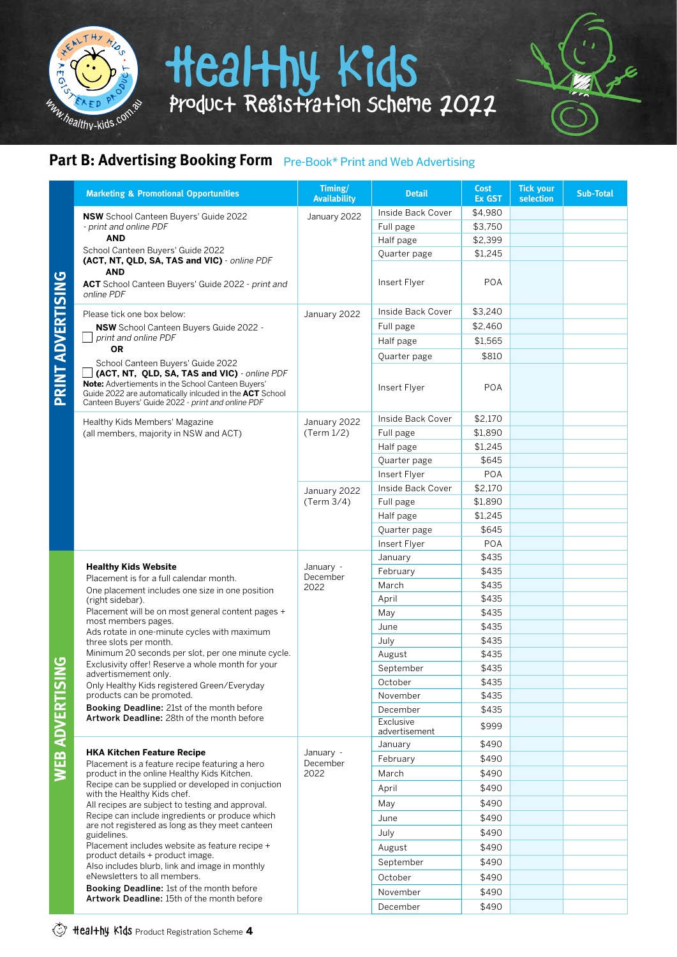

## **Part B: Advertising Booking Form** Pre-Book\* Print and Web Advertising

| <b>Marketing &amp; Promotional Opportunities</b>                                                                                                                                                                                                       | Timing/<br><b>Availability</b> | <b>Detail</b>              | <b>Cost</b><br><b>Ex GST</b> | <b>Tick your</b><br>selection | <b>Sub-Total</b> |
|--------------------------------------------------------------------------------------------------------------------------------------------------------------------------------------------------------------------------------------------------------|--------------------------------|----------------------------|------------------------------|-------------------------------|------------------|
| <b>NSW</b> School Canteen Buyers' Guide 2022                                                                                                                                                                                                           | January 2022                   | Inside Back Cover          | \$4,980                      |                               |                  |
| - print and online PDF                                                                                                                                                                                                                                 |                                | Full page                  | \$3,750                      |                               |                  |
| <b>AND</b>                                                                                                                                                                                                                                             |                                | Half page                  | \$2,399                      |                               |                  |
| School Canteen Buyers' Guide 2022<br>(ACT, NT, QLD, SA, TAS and VIC) - online PDF                                                                                                                                                                      |                                | Quarter page               | \$1,245                      |                               |                  |
| <b>AND</b><br>ACT School Canteen Buyers' Guide 2022 - print and<br>online PDF                                                                                                                                                                          |                                | Insert Flyer               | <b>POA</b>                   |                               |                  |
| Please tick one box below:                                                                                                                                                                                                                             | January 2022                   | Inside Back Cover          | \$3,240                      |                               |                  |
| NSW School Canteen Buyers Guide 2022 -                                                                                                                                                                                                                 |                                | Full page                  | \$2,460                      |                               |                  |
| print and online PDF                                                                                                                                                                                                                                   |                                | Half page                  | \$1,565                      |                               |                  |
| <b>OR</b>                                                                                                                                                                                                                                              |                                | Quarter page               | \$810                        |                               |                  |
| School Canteen Buyers' Guide 2022<br>(ACT, NT, QLD, SA, TAS and VIC) - online PDF<br>Note: Advertiements in the School Canteen Buyers'<br>Guide 2022 are automatically inlcuded in the ACT School<br>Canteen Buyers' Guide 2022 - print and online PDF |                                | Insert Flyer               | <b>POA</b>                   |                               |                  |
| Healthy Kids Members' Magazine                                                                                                                                                                                                                         | January 2022                   | Inside Back Cover          | \$2,170                      |                               |                  |
| (all members, majority in NSW and ACT)                                                                                                                                                                                                                 | (Term 1/2)                     | Full page                  | \$1,890                      |                               |                  |
|                                                                                                                                                                                                                                                        |                                | Half page                  | \$1.245                      |                               |                  |
|                                                                                                                                                                                                                                                        |                                | Quarter page               | \$645                        |                               |                  |
|                                                                                                                                                                                                                                                        |                                | Insert Flyer               | <b>POA</b>                   |                               |                  |
|                                                                                                                                                                                                                                                        | January 2022                   | Inside Back Cover          | \$2,170                      |                               |                  |
|                                                                                                                                                                                                                                                        | (Term 3/4)                     | Full page                  | \$1,890                      |                               |                  |
|                                                                                                                                                                                                                                                        |                                | Half page                  | \$1,245                      |                               |                  |
|                                                                                                                                                                                                                                                        |                                | Quarter page               | \$645                        |                               |                  |
|                                                                                                                                                                                                                                                        |                                | Insert Flyer               | <b>POA</b>                   |                               |                  |
|                                                                                                                                                                                                                                                        |                                | January                    | \$435                        |                               |                  |
| <b>Healthy Kids Website</b><br>Placement is for a full calendar month.                                                                                                                                                                                 | January -<br>December<br>2022  | February                   | \$435                        |                               |                  |
| One placement includes one size in one position                                                                                                                                                                                                        |                                | March                      | \$435                        |                               |                  |
| (right sidebar).                                                                                                                                                                                                                                       |                                | April                      | \$435                        |                               |                  |
| Placement will be on most general content pages +<br>most members pages.                                                                                                                                                                               |                                | May                        | \$435                        |                               |                  |
| Ads rotate in one-minute cycles with maximum                                                                                                                                                                                                           |                                | June                       | \$435                        |                               |                  |
| three slots per month.                                                                                                                                                                                                                                 |                                | July                       | \$435                        |                               |                  |
| Minimum 20 seconds per slot, per one minute cycle.<br>Exclusivity offer! Reserve a whole month for your                                                                                                                                                |                                | August                     | \$435                        |                               |                  |
| advertismement only.                                                                                                                                                                                                                                   |                                | September                  | \$435                        |                               |                  |
| Only Healthy Kids registered Green/Everyday                                                                                                                                                                                                            |                                | October                    | \$435                        |                               |                  |
| products can be promoted.                                                                                                                                                                                                                              |                                | November                   | \$435                        |                               |                  |
| Booking Deadline: 21st of the month before<br>Artwork Deadline: 28th of the month before                                                                                                                                                               |                                | December                   | \$435                        |                               |                  |
|                                                                                                                                                                                                                                                        |                                | Exclusive<br>advertisement | \$999                        |                               |                  |
|                                                                                                                                                                                                                                                        |                                | January                    | \$490                        |                               |                  |
| <b>HKA Kitchen Feature Recipe</b><br>Placement is a feature recipe featuring a hero                                                                                                                                                                    | January -<br>December          | February                   | \$490                        |                               |                  |
| product in the online Healthy Kids Kitchen.                                                                                                                                                                                                            | 2022                           | March                      | \$490                        |                               |                  |
| Recipe can be supplied or developed in conjuction<br>with the Healthy Kids chef.                                                                                                                                                                       |                                | April                      | \$490                        |                               |                  |
| All recipes are subject to testing and approval.                                                                                                                                                                                                       |                                | May                        | \$490                        |                               |                  |
| Recipe can include ingredients or produce which                                                                                                                                                                                                        |                                | June                       | \$490                        |                               |                  |
| are not registered as long as they meet canteen<br>guidelines.                                                                                                                                                                                         |                                | July                       | \$490                        |                               |                  |
| Placement includes website as feature recipe +                                                                                                                                                                                                         |                                | August                     | \$490                        |                               |                  |
| product details + product image.                                                                                                                                                                                                                       |                                | September                  | \$490                        |                               |                  |
| Also includes blurb, link and image in monthly<br>eNewsletters to all members.                                                                                                                                                                         |                                | October                    | \$490                        |                               |                  |
| Booking Deadline: 1st of the month before                                                                                                                                                                                                              |                                | November                   | \$490                        |                               |                  |
| Artwork Deadline: 15th of the month before                                                                                                                                                                                                             |                                | December                   | \$490                        |                               |                  |
|                                                                                                                                                                                                                                                        |                                |                            |                              |                               |                  |

**PRINT ADVERTISING**

PRINT ADVERTISING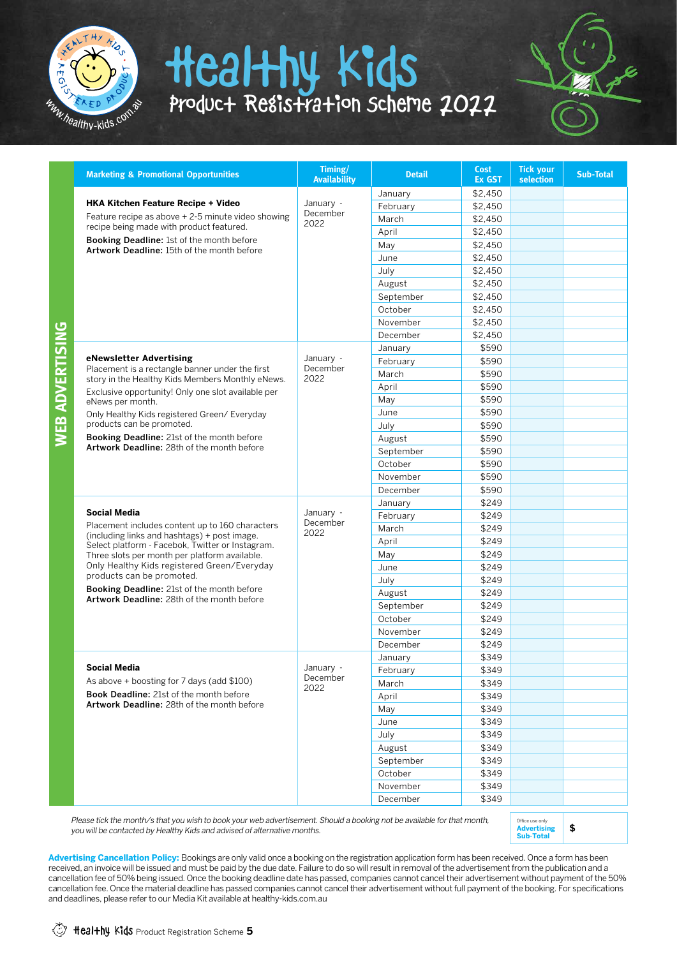



| <b>Marketing &amp; Promotional Opportunities</b>                                                    | Timing/<br><b>Availability</b> | <b>Detail</b> | <b>Cost</b><br><b>Ex GST</b> | <b>Tick your</b><br><b>selection</b> | <b>Sub-Total</b> |
|-----------------------------------------------------------------------------------------------------|--------------------------------|---------------|------------------------------|--------------------------------------|------------------|
|                                                                                                     |                                | January       | \$2,450                      |                                      |                  |
| HKA Kitchen Feature Recipe + Video                                                                  | January -<br>December<br>2022  | February      | \$2,450                      |                                      |                  |
| Feature recipe as above + 2-5 minute video showing                                                  |                                | March         | \$2.450                      |                                      |                  |
| recipe being made with product featured.                                                            |                                | April         | \$2.450                      |                                      |                  |
| Booking Deadline: 1st of the month before<br>Artwork Deadline: 15th of the month before             |                                | May           | \$2,450                      |                                      |                  |
|                                                                                                     |                                | June          | \$2,450                      |                                      |                  |
|                                                                                                     |                                | July          | \$2,450                      |                                      |                  |
|                                                                                                     |                                | August        | \$2.450                      |                                      |                  |
|                                                                                                     |                                | September     | \$2,450                      |                                      |                  |
|                                                                                                     |                                | October       | \$2,450                      |                                      |                  |
|                                                                                                     |                                | November      | \$2.450                      |                                      |                  |
|                                                                                                     |                                | December      | \$2.450                      |                                      |                  |
|                                                                                                     |                                | January       | \$590                        |                                      |                  |
| eNewsletter Advertising                                                                             | January -<br>December          | February      | \$590                        |                                      |                  |
| Placement is a rectangle banner under the first<br>story in the Healthy Kids Members Monthly eNews. | 2022                           | March         | \$590                        |                                      |                  |
| Exclusive opportunity! Only one slot available per                                                  |                                | April         | \$590                        |                                      |                  |
| eNews per month.                                                                                    |                                | May           | \$590                        |                                      |                  |
| Only Healthy Kids registered Green/ Everyday                                                        |                                | June          | \$590                        |                                      |                  |
| products can be promoted.                                                                           |                                | July          | \$590                        |                                      |                  |
| <b>Booking Deadline:</b> 21st of the month before                                                   |                                | August        | \$590                        |                                      |                  |
| Artwork Deadline: 28th of the month before                                                          |                                | September     | \$590                        |                                      |                  |
|                                                                                                     |                                | October       | \$590                        |                                      |                  |
|                                                                                                     |                                | November      | \$590                        |                                      |                  |
|                                                                                                     |                                | December      | \$590                        |                                      |                  |
|                                                                                                     |                                | January       | \$249                        |                                      |                  |
| <b>Social Media</b>                                                                                 | January -<br>December          | February      | \$249                        |                                      |                  |
| Placement includes content up to 160 characters<br>(including links and hashtags) + post image.     | 2022                           | March         | \$249                        |                                      |                  |
| Select platform - Facebok, Twitter or Instagram.                                                    |                                | April         | \$249                        |                                      |                  |
| Three slots per month per platform available.                                                       |                                | May           | \$249                        |                                      |                  |
| Only Healthy Kids registered Green/Everyday                                                         |                                | June          | \$249                        |                                      |                  |
| products can be promoted.                                                                           |                                | July          | \$249                        |                                      |                  |
| Booking Deadline: 21st of the month before<br>Artwork Deadline: 28th of the month before            |                                | August        | \$249                        |                                      |                  |
|                                                                                                     |                                | September     | \$249                        |                                      |                  |
|                                                                                                     |                                | October       | \$249                        |                                      |                  |
|                                                                                                     |                                | November      | \$249                        |                                      |                  |
|                                                                                                     |                                | December      | \$249                        |                                      |                  |
|                                                                                                     |                                | January       | \$349                        |                                      |                  |
| Social Media                                                                                        | January -<br>December          | February      | \$349                        |                                      |                  |
| As above + boosting for 7 days (add \$100)                                                          | 2022                           | March         | \$349                        |                                      |                  |
| <b>Book Deadline: 21st of the month before</b><br>Artwork Deadline: 28th of the month before        |                                | April         | \$349                        |                                      |                  |
|                                                                                                     |                                | May           | \$349                        |                                      |                  |
|                                                                                                     |                                | June          | \$349                        |                                      |                  |
|                                                                                                     |                                | July          | \$349                        |                                      |                  |
|                                                                                                     |                                | August        | \$349                        |                                      |                  |
|                                                                                                     |                                | September     | \$349                        |                                      |                  |
|                                                                                                     |                                | October       | \$349                        |                                      |                  |
|                                                                                                     |                                | November      | \$349                        |                                      |                  |
|                                                                                                     |                                | December      | \$349                        |                                      |                  |

Please tick the month/s that you wish to book your web advertisement. Should a booking not be available for that month, you will be contacted by Healthy Kids and advised of alternative months.



Advertising Cancellation Policy: Bookings are only valid once a booking on the registration application form has been received. Once a form has been received, an invoice will be issued and must be paid by the due date. Failure to do so will result in removal of the advertisement from the publication and a cancellation fee of 50% being issued. Once the booking deadline date has passed, companies cannot cancel their advertisement without payment of the 50% cancellation fee. Once the material deadline has passed companies cannot cancel their advertisement without full payment of the booking. For specifications and deadlines, please refer to our Media Kit available at healthy-kids.com.au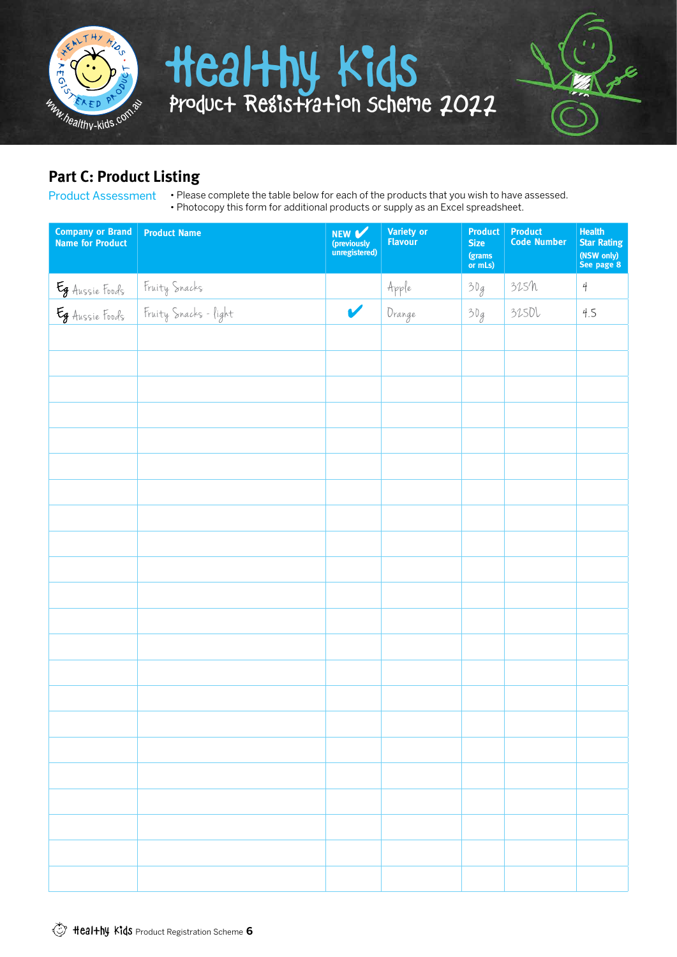

## **Part C: Product Listing**

Product Assessment

• Please complete the table below for each of the products that you wish to have assessed. • Photocopy this form for additional products or supply as an Excel spreadsheet.

| <b>Company or Brand</b><br><b>Name for Product</b> | <b>Product Name</b>                    | NEW V<br>(previously<br>unregistered) | <b>Variety or</b><br><b>Flavour</b> | <b>Product</b><br><b>Size</b><br>(grams<br>or mLs) | <b>Product</b><br><b>Code Number</b> | <b>Health</b><br><b>Star Rating</b><br>(NSW only)<br>See page 8 |
|----------------------------------------------------|----------------------------------------|---------------------------------------|-------------------------------------|----------------------------------------------------|--------------------------------------|-----------------------------------------------------------------|
|                                                    |                                        |                                       | $\pmb{Apple}$                       | 30g                                                | 315h                                 | $\frac{4}{3}$                                                   |
| Eg Aussie Foods<br>Eg Aussie Foods                 | Fruity Snacks<br>Fruity Snacks - fight | V                                     | Drange                              | 30g                                                | 3250l                                | 4.5                                                             |
|                                                    |                                        |                                       |                                     |                                                    |                                      |                                                                 |
|                                                    |                                        |                                       |                                     |                                                    |                                      |                                                                 |
|                                                    |                                        |                                       |                                     |                                                    |                                      |                                                                 |
|                                                    |                                        |                                       |                                     |                                                    |                                      |                                                                 |
|                                                    |                                        |                                       |                                     |                                                    |                                      |                                                                 |
|                                                    |                                        |                                       |                                     |                                                    |                                      |                                                                 |
|                                                    |                                        |                                       |                                     |                                                    |                                      |                                                                 |
|                                                    |                                        |                                       |                                     |                                                    |                                      |                                                                 |
|                                                    |                                        |                                       |                                     |                                                    |                                      |                                                                 |
|                                                    |                                        |                                       |                                     |                                                    |                                      |                                                                 |
|                                                    |                                        |                                       |                                     |                                                    |                                      |                                                                 |
|                                                    |                                        |                                       |                                     |                                                    |                                      |                                                                 |
|                                                    |                                        |                                       |                                     |                                                    |                                      |                                                                 |
|                                                    |                                        |                                       |                                     |                                                    |                                      |                                                                 |
|                                                    |                                        |                                       |                                     |                                                    |                                      |                                                                 |
|                                                    |                                        |                                       |                                     |                                                    |                                      |                                                                 |
|                                                    |                                        |                                       |                                     |                                                    |                                      |                                                                 |
|                                                    |                                        |                                       |                                     |                                                    |                                      |                                                                 |
|                                                    |                                        |                                       |                                     |                                                    |                                      |                                                                 |
|                                                    |                                        |                                       |                                     |                                                    |                                      |                                                                 |
|                                                    |                                        |                                       |                                     |                                                    |                                      |                                                                 |
|                                                    |                                        |                                       |                                     |                                                    |                                      |                                                                 |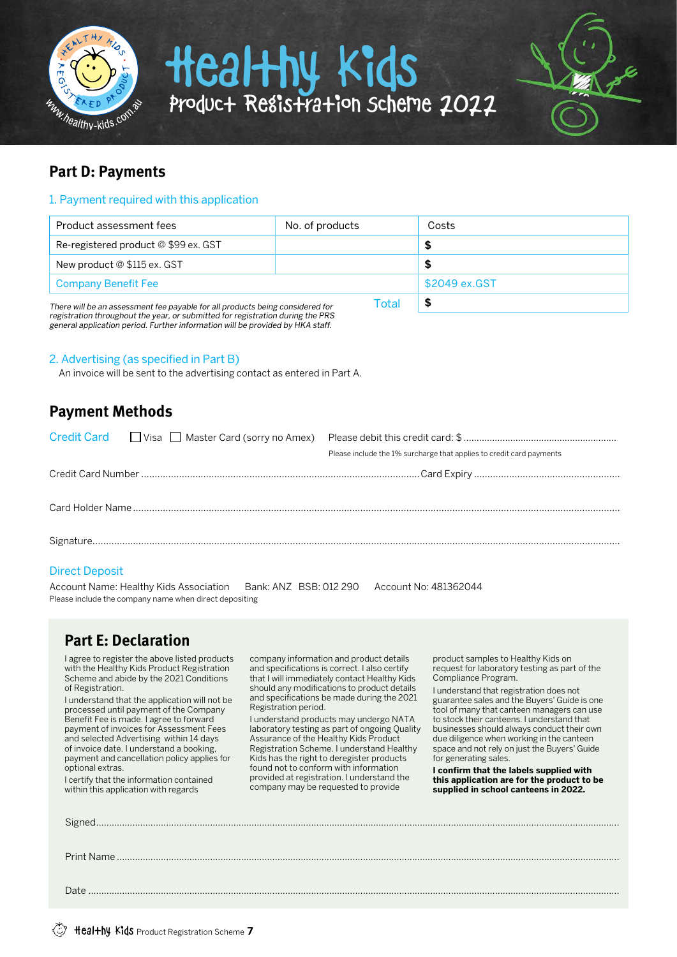



## **Part D: Payments**

### 1. Payment required with this application

| Product assessment fees                                                       | No. of products | Costs         |
|-------------------------------------------------------------------------------|-----------------|---------------|
| Re-registered product @ \$99 ex. GST                                          |                 |               |
| New product @ \$115 ex. GST                                                   |                 |               |
| <b>Company Benefit Fee</b>                                                    |                 | \$2049 ex.GST |
| There will be an assessment fee payable for all products being considered for | Total           |               |

registration throughout the year, or submitted for registration during the PRS general application period. Further information will be provided by HKA staff.

### 2. Advertising (as specified in Part B)

An invoice will be sent to the advertising contact as entered in Part A.

### **Payment Methods**

|  | Please include the 1% surcharge that applies to credit card payments |
|--|----------------------------------------------------------------------|
|  |                                                                      |
|  |                                                                      |
|  |                                                                      |
|  |                                                                      |

### Direct Deposit

Account Name: Healthy Kids Association Bank: ANZ BSB: 012 290 Account No: 481362044 Please include the company name when direct depositing

### **Part E: Declaration**

I agree to register the above listed products with the Healthy Kids Product Registration Scheme and abide by the 2021 Conditions of Registration.

I understand that the application will not be processed until payment of the Company Benefit Fee is made. I agree to forward payment of invoices for Assessment Fees and selected Advertising within 14 days of invoice date. I understand a booking, payment and cancellation policy applies for optional extras.

I certify that the information contained within this application with regards

company information and product details and specifications is correct. I also certify that I will immediately contact Healthy Kids should any modifications to product details and specifications be made during the 2021 Registration period.

I understand products may undergo NATA laboratory testing as part of ongoing Quality Assurance of the Healthy Kids Product Registration Scheme. I understand Healthy Kids has the right to deregister products found not to conform with information provided at registration. I understand the company may be requested to provide

product samples to Healthy Kids on request for laboratory testing as part of the Compliance Program.

I understand that registration does not guarantee sales and the Buyers' Guide is one tool of many that canteen managers can use to stock their canteens. I understand that businesses should always conduct their own due diligence when working in the canteen space and not rely on just the Buyers' Guide for generating sales.

**I confirm that the labels supplied with this application are for the product to be supplied in school canteens in 2022.**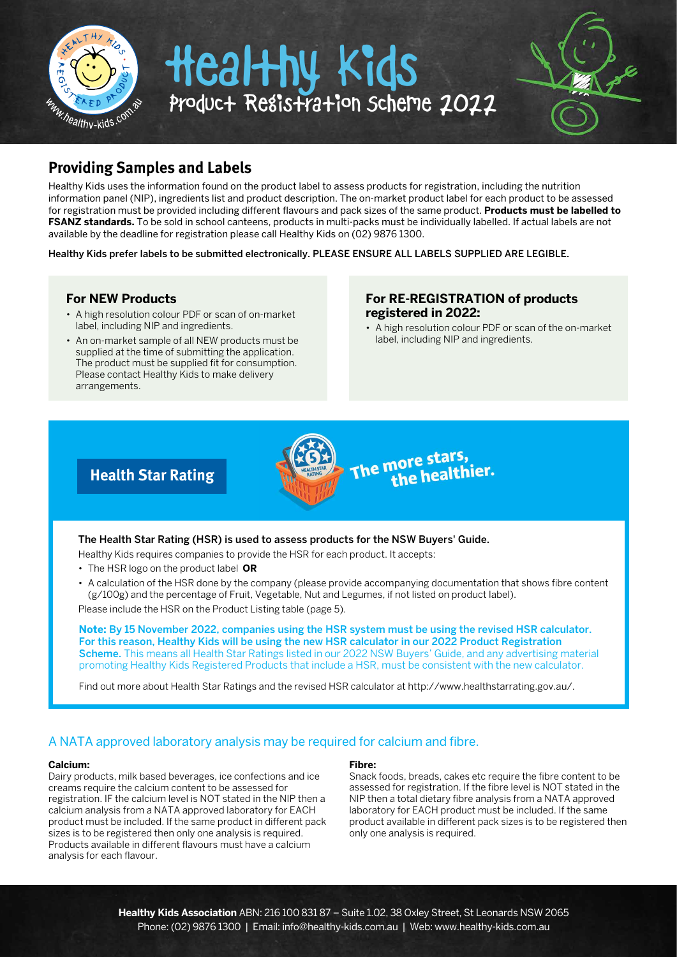



## **Providing Samples and Labels**

Healthy Kids uses the information found on the product label to assess products for registration, including the nutrition information panel (NIP), ingredients list and product description. The on-market product label for each product to be assessed for registration must be provided including different flavours and pack sizes of the same product. **Products must be labelled to FSANZ standards.** To be sold in school canteens, products in multi-packs must be individually labelled. If actual labels are not available by the deadline for registration please call Healthy Kids on (02) 9876 1300.

Healthy Kids prefer labels to be submitted electronically. PLEASE ENSURE ALL LABELS SUPPLIED ARE LEGIBLE.

### **For NEW Products**

- A high resolution colour PDF or scan of on-market label, including NIP and ingredients.
- An on-market sample of all NEW products must be supplied at the time of submitting the application. The product must be supplied fit for consumption. Please contact Healthy Kids to make delivery arrangements.

### **For RE-REGISTRATION of products registered in 2022:**

• A high resolution colour PDF or scan of the on-market label, including NIP and ingredients.

### **Health Star Rating**

### The Health Star Rating (HSR) is used to assess products for the NSW Buyers' Guide.

Healthy Kids requires companies to provide the HSR for each product. It accepts:

- The HSR logo on the product label **OR**
- A calculation of the HSR done by the company (please provide accompanying documentation that shows fibre content (g/100g) and the percentage of Fruit, Vegetable, Nut and Legumes, if not listed on product label).

The more stars,<br>The more stars,

nore stare,<br>the healthier.

Please include the HSR on the Product Listing table (page 5).

**Note:** By 15 November 2022, companies using the HSR system must be using the revised HSR calculator. For this reason, Healthy Kids will be using the new HSR calculator in our 2022 Product Registration Scheme. This means all Health Star Ratings listed in our 2022 NSW Buyers' Guide, and any advertising material promoting Healthy Kids Registered Products that include a HSR, must be consistent with the new calculator.

Find out more about Health Star Ratings and the revised HSR calculator at http://www.healthstarrating.gov.au/.

### A NATA approved laboratory analysis may be required for calcium and fibre.

#### **Calcium:**

Dairy products, milk based beverages, ice confections and ice creams require the calcium content to be assessed for registration. IF the calcium level is NOT stated in the NIP then a calcium analysis from a NATA approved laboratory for EACH product must be included. If the same product in different pack sizes is to be registered then only one analysis is required. Products available in different flavours must have a calcium analysis for each flavour.

#### **Fibre:**

Snack foods, breads, cakes etc require the fibre content to be assessed for registration. If the fibre level is NOT stated in the NIP then a total dietary fibre analysis from a NATA approved laboratory for EACH product must be included. If the same product available in different pack sizes is to be registered then only one analysis is required.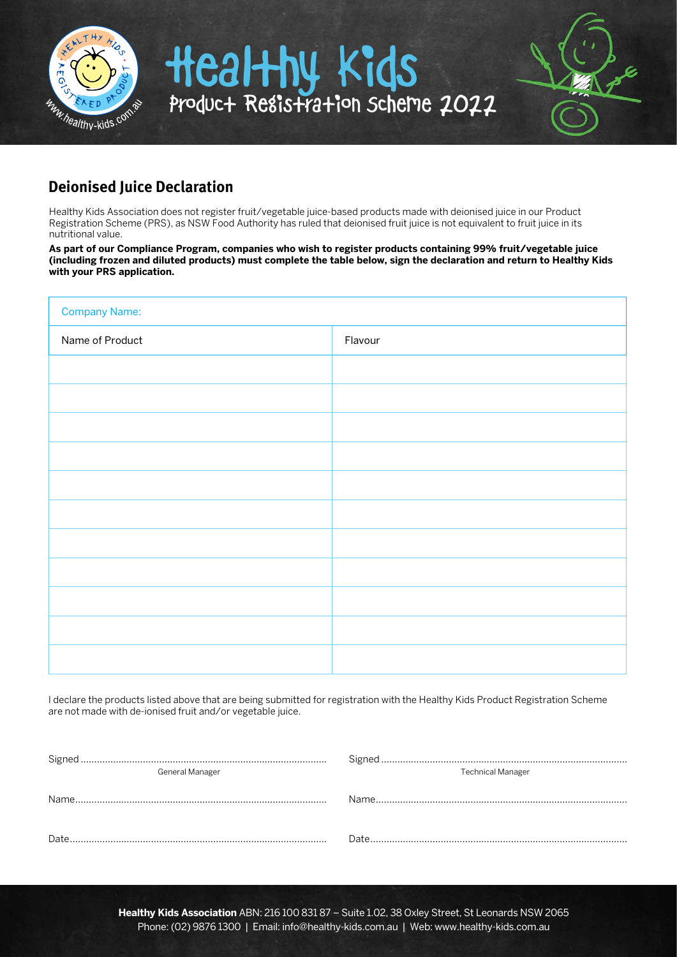

### **Deionised Juice Declaration**

Healthy Kids Association does not register fruit/vegetable juice-based products made with deionised juice in our Product Registration Scheme (PRS), as NSW Food Authority has ruled that deionised fruit juice is not equivalent to fruit juice in its nutritional value.

**As part of our Compliance Program, companies who wish to register products containing 99% fruit/vegetable juice (including frozen and diluted products) must complete the table below, sign the declaration and return to Healthy Kids with your PRS application.**

| <b>Company Name:</b> |         |  |  |  |
|----------------------|---------|--|--|--|
| Name of Product      | Flavour |  |  |  |
|                      |         |  |  |  |
|                      |         |  |  |  |
|                      |         |  |  |  |
|                      |         |  |  |  |
|                      |         |  |  |  |
|                      |         |  |  |  |
|                      |         |  |  |  |
|                      |         |  |  |  |
|                      |         |  |  |  |
|                      |         |  |  |  |
|                      |         |  |  |  |

I declare the products listed above that are being submitted for registration with the Healthy Kids Product Registration Scheme are not made with de-ionised fruit and/or vegetable juice.

| General Manager | <b>Technical Manager</b> |
|-----------------|--------------------------|
|                 |                          |
| Date            |                          |